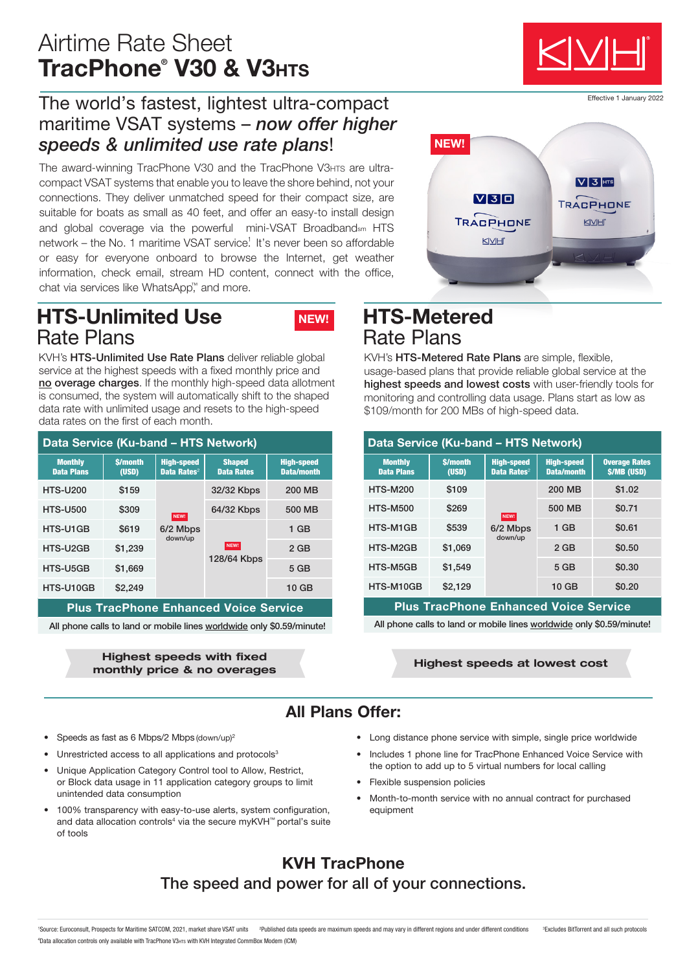# Airtime Rate Sheet TracPhone® V30 & V3нтs

## The world's fastest, lightest ultra-compact maritime VSAT systems – *now offer higher*  speeds & unlimited use rate plans!

The award-winning TracPhone V30 and the TracPhone V3HTs are ultracompact VSAT systems that enable you to leave the shore behind, not your connections. They deliver unmatched speed for their compact size, are suitable for boats as small as 40 feet, and offer an easy-to install design and global coverage via the powerful mini-VSAT Broadbandsm HTS network – the No. 1 maritime VSAT service<sup>1</sup> It's never been so affordable or easy for everyone onboard to browse the Internet, get weather information, check email, stream HD content, connect with the office, chat via services like WhatsApp™ and more.

## HTS-Unlimited Use Rate Plans



KVH's HTS-Unlimited Use Rate Plans deliver reliable global service at the highest speeds with a fixed monthly price and no overage charges. If the monthly high-speed data allotment is consumed, the system will automatically shift to the shaped data rate with unlimited usage and resets to the high-speed data rates on the first of each month.

| <b>Data Service (Ku-band - HTS Network)</b>  |                         |                                              |                                    |                                 | Data Service (Ku-band - H           |                            |         |
|----------------------------------------------|-------------------------|----------------------------------------------|------------------------------------|---------------------------------|-------------------------------------|----------------------------|---------|
| <b>Monthly</b><br><b>Data Plans</b>          | <b>S/month</b><br>(USD) | <b>High-speed</b><br>Data Rates <sup>2</sup> | <b>Shaped</b><br><b>Data Rates</b> | <b>High-speed</b><br>Data/month | <b>Monthly</b><br><b>Data Plans</b> | <b>S/month</b><br>(USD)    |         |
| <b>HTS-U200</b>                              | \$159                   | NEW!<br>6/2 Mbps<br>down/up                  | 32/32 Kbps                         | 200 MB                          | <b>HTS-M200</b>                     | \$109                      |         |
| <b>HTS-U500</b>                              | \$309                   |                                              | 64/32 Kbps                         | 500 MB                          | <b>HTS-M500</b>                     | \$269                      |         |
| HTS-U1GB                                     | \$619                   |                                              | NEW!<br>128/64 Kbps                | $1$ GB                          | HTS-M1GB                            | \$539                      | $6/2$ M |
| HTS-U2GB                                     | \$1.239                 |                                              |                                    | $2$ GB                          | HTS-M2GB                            | \$1,069                    |         |
| HTS-U5GB                                     | \$1.669                 |                                              |                                    | 5 <sub>GB</sub>                 | HTS-M5GB                            | \$1.549                    |         |
| HTS-U10GB                                    | \$2,249                 |                                              |                                    | 10 <sub>GB</sub>                | HTS-M10GB                           | \$2.129                    |         |
| <b>Plus TracPhone Enhanced Voice Service</b> |                         |                                              |                                    |                                 |                                     | <b>Plus TracPhone Enha</b> |         |

All phone calls to land or mobile lines worldwide only \$0.59/minute!

Highest speeds with fixed monthly price & no overages

# $VI3$ <sub>HTS</sub>  $V$ 30 TRACPHONE TRACPHONE KNH KIVIHI

# HTS-Metered Rate Plans

KVH's HTS-Metered Rate Plans are simple, flexible, usage-based plans that provide reliable global service at the highest speeds and lowest costs with user-friendly tools for monitoring and controlling data usage. Plans start as low as \$109/month for 200 MBs of high-speed data.

| Data Service (Ku-band - HTS Network)         |                         |                                              |                                        |                                                  |  |  |  |  |  |  |
|----------------------------------------------|-------------------------|----------------------------------------------|----------------------------------------|--------------------------------------------------|--|--|--|--|--|--|
| <b>Monthly</b><br><b>Data Plans</b>          | <b>S/month</b><br>(USD) | <b>High-speed</b><br>Data Rates <sup>2</sup> | <b>High-speed</b><br><b>Data/month</b> | <b>Overage Rates</b><br><b><i>S/MB (USD)</i></b> |  |  |  |  |  |  |
| <b>HTS-M200</b>                              | \$109                   |                                              | 200 MB                                 | \$1.02                                           |  |  |  |  |  |  |
| <b>HTS-M500</b>                              | \$269                   | NEW!                                         | 500 MB                                 | \$0.71                                           |  |  |  |  |  |  |
| HTS-M1GB                                     | \$539                   | 6/2 Mbps<br>down/up                          | $1$ GB                                 | \$0.61                                           |  |  |  |  |  |  |
| HTS-M2GB                                     | \$1,069                 |                                              | 2 GB                                   | \$0.50                                           |  |  |  |  |  |  |
| HTS-M5GB                                     | \$1,549                 |                                              | 5 GB                                   | \$0.30                                           |  |  |  |  |  |  |
| HTS-M10GB                                    | \$2,129                 |                                              | 10 GB                                  | \$0.20                                           |  |  |  |  |  |  |
| <b>Plus TracPhone Enhanced Voice Service</b> |                         |                                              |                                        |                                                  |  |  |  |  |  |  |

All phone calls to land or mobile lines worldwide only \$0.59/minute!

### Highest speeds at lowest cost

### All Plans Offer:

- Speeds as fast as 6 Mbps/2 Mbps (down/up)2
- Unrestricted access to all applications and protocols<sup>3</sup>
- Unique Application Category Control tool to Allow, Restrict, or Block data usage in 11 application category groups to limit unintended data consumption
- 100% transparency with easy-to-use alerts, system configuration, and data allocation controls<sup>4</sup> via the secure myKVH™ portal's suite of tools
- Long distance phone service with simple, single price worldwide
- Includes 1 phone line for TracPhone Enhanced Voice Service with the option to add up to 5 virtual numbers for local calling
- Flexible suspension policies
- Month-to-month service with no annual contract for purchased equipment

### KVH TracPhone The speed and power for all of your connections.

Effective 1 January 2022